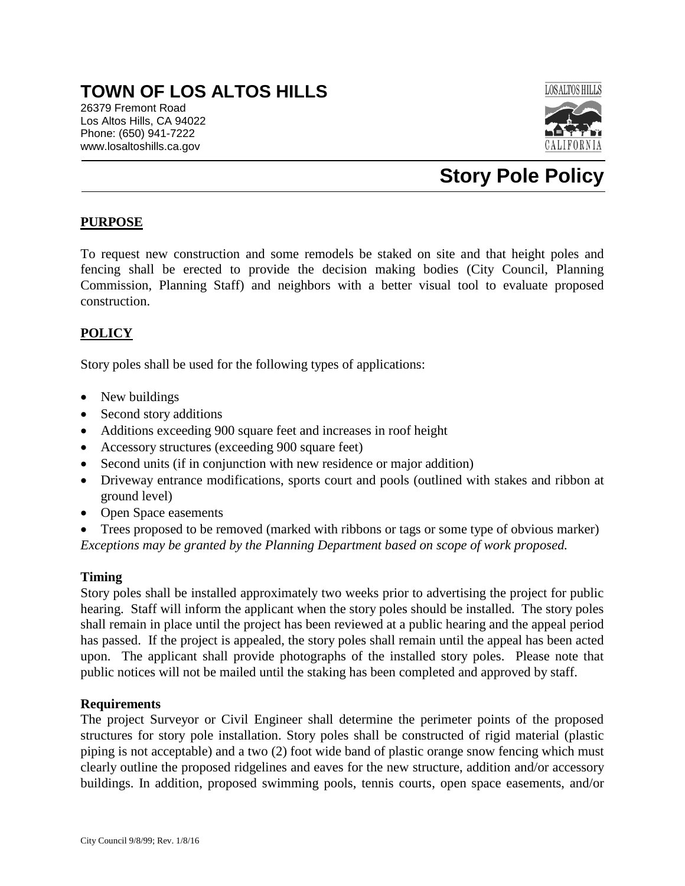# **TOWN OF LOS ALTOS HILLS**

26379 Fremont Road Los Altos Hills, CA 94022 Phone: (650) 941-7222 www.losaltoshills.ca.gov



# **Story Pole Policy**

# **PURPOSE**

To request new construction and some remodels be staked on site and that height poles and fencing shall be erected to provide the decision making bodies (City Council, Planning Commission, Planning Staff) and neighbors with a better visual tool to evaluate proposed construction.

# **POLICY**

Story poles shall be used for the following types of applications:

- New buildings
- Second story additions
- Additions exceeding 900 square feet and increases in roof height
- Accessory structures (exceeding 900 square feet)
- Second units (if in conjunction with new residence or major addition)
- Driveway entrance modifications, sports court and pools (outlined with stakes and ribbon at ground level)
- Open Space easements
- Trees proposed to be removed (marked with ribbons or tags or some type of obvious marker) *Exceptions may be granted by the Planning Department based on scope of work proposed.*

## **Timing**

Story poles shall be installed approximately two weeks prior to advertising the project for public hearing. Staff will inform the applicant when the story poles should be installed. The story poles shall remain in place until the project has been reviewed at a public hearing and the appeal period has passed. If the project is appealed, the story poles shall remain until the appeal has been acted upon. The applicant shall provide photographs of the installed story poles. Please note that public notices will not be mailed until the staking has been completed and approved by staff.

## **Requirements**

The project Surveyor or Civil Engineer shall determine the perimeter points of the proposed structures for story pole installation. Story poles shall be constructed of rigid material (plastic piping is not acceptable) and a two (2) foot wide band of plastic orange snow fencing which must clearly outline the proposed ridgelines and eaves for the new structure, addition and/or accessory buildings. In addition, proposed swimming pools, tennis courts, open space easements, and/or